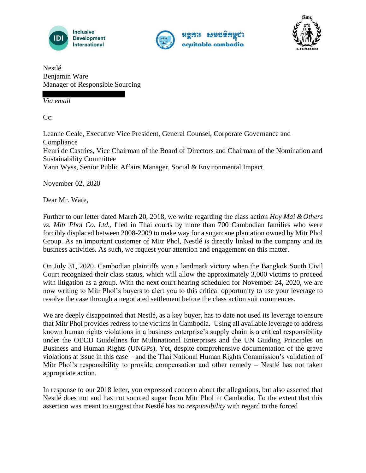





Nestlé Benjamin Ware Manager of Responsible Sourcing

*Via email*

C<sub>c</sub>:

Leanne Geale, Executive Vice President, General Counsel, Corporate Governance and **Compliance** Henri de Castries, Vice Chairman of the Board of Directors and Chairman of the Nomination and Sustainability Committee Yann Wyss, Senior Public Affairs Manager, Social & Environmental Impact

November 02, 2020

Dear Mr. Ware,

Further to our letter dated March 20, 2018, we write regarding the class action *Hoy Mai & Others vs. Mitr Phol Co. Ltd.*, filed in Thai courts by more than 700 Cambodian families who were forcibly displaced between 2008-2009 to make way for a sugarcane plantation owned by Mitr Phol Group. As an important customer of Mitr Phol, Nestlé is directly linked to the company and its business activities. As such, we request your attention and engagement on this matter.

On July 31, 2020, Cambodian plaintiffs won a landmark victory when the Bangkok South Civil Court recognized their class status, which will allow the approximately 3,000 victims to proceed with litigation as a group. With the next court hearing scheduled for November 24, 2020, we are now writing to Mitr Phol's buyers to alert you to this critical opportunity to use your leverage to resolve the case through a negotiated settlement before the class action suit commences.

We are deeply disappointed that Nestlé, as a key buyer, has to date not used its leverage to ensure that Mitr Phol provides redress to the victims in Cambodia. Using all available leverage to address known human rights violations in a business enterprise's supply chain is a critical responsibility under the OECD Guidelines for Multinational Enterprises and the UN Guiding Principles on Business and Human Rights (UNGPs). Yet, despite comprehensive documentation of the grave violations at issue in this case – and the Thai National Human Rights Commission's validation of Mitr Phol's responsibility to provide compensation and other remedy – Nestlé has not taken appropriate action.

In response to our 2018 letter, you expressed concern about the allegations, but also asserted that Nestlé does not and has not sourced sugar from Mitr Phol in Cambodia. To the extent that this assertion was meant to suggest that Nestlé has *no responsibility* with regard to the forced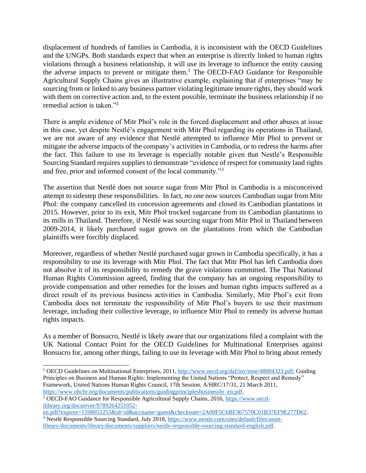displacement of hundreds of families in Cambodia, it is inconsistent with the OECD Guidelines and the UNGPs. Both standards expect that when an enterprise is directly linked to human rights violations through a business relationship, it will use its leverage to influence the entity causing the adverse impacts to prevent or mitigate them.<sup>1</sup> The OECD-FAO Guidance for Responsible Agricultural Supply Chains gives an illustrative example, explaining that if enterprises "may be sourcing from or linked to any business partner violating legitimate tenure rights, they should work with them on corrective action and, to the extent possible, terminate the business relationship if no remedial action is taken."<sup>2</sup>

There is ample evidence of Mitr Phol's role in the forced displacement and other abuses at issue in this case, yet despite Nestlé's engagement with Mitr Phol regarding its operations in Thailand, we are not aware of any evidence that Nestlé attempted to influence Mitr Phol to prevent or mitigate the adverse impacts of the company's activities in Cambodia, or to redress the harms after the fact. This failure to use its leverage is especially notable given that Nestlé's Responsible Sourcing Standard requires supplies to demonstrate "evidence of respect for community land rights and free, prior and informed consent of the local community."<sup>3</sup>

The assertion that Nestlé does not source sugar from Mitr Phol in Cambodia is a misconceived attempt to sidestep these responsibilities. In fact, *no one* now sources Cambodian sugar from Mitr Phol: the company cancelled its concession agreements and closed its Cambodian plantations in 2015. However, prior to its exit, Mitr Phol trucked sugarcane from its Cambodian plantations to its mills in Thailand. Therefore, if Nestlé was sourcing sugar from Mitr Phol in Thailand between 2009-2014, it likely purchased sugar grown on the plantations from which the Cambodian plaintiffs were forcibly displaced.

Moreover, regardless of whether Nestlé purchased sugar grown in Cambodia specifically, it has a responsibility to use its leverage with Mitr Phol. The fact that Mitr Phol has left Cambodia does not absolve it of its responsibility to remedy the grave violations committed. The Thai National Human Rights Commission agreed, finding that the company has an ongoing responsibility to provide compensation and other remedies for the losses and human rights impacts suffered as a direct result of its previous business activities in Cambodia. Similarly, Mitr Phol's exit from Cambodia does not terminate the responsibility of Mitr Phol's buyers to use their maximum leverage, including their collective leverage, to influence Mitr Phol to remedy its adverse human rights impacts.

As a member of Bonsucro, Nestlé is likely aware that our organizations filed a complaint with the UK National Contact Point for the OECD Guidelines for Multinational Enterprises against Bonsucro for, among other things, failing to use its leverage with Mitr Phol to bring about remedy

<sup>&</sup>lt;sup>1</sup> OECD Guidelines on Multinational Enterprises, 2011, http://www.oecd.org/daf/inv/mne/48004323.pdf; Guiding Principles on Business and Human Rights: Implementing the United Nations "Protect, Respect and Remedy" Framework, United Nations Human Rights Council, 17th Session, A/HRC/17/31, 21 March 2011, https://www.ohchr.org/documents/publications/guidingprinciplesbusinesshr en.pdf.

<sup>&</sup>lt;sup>2</sup> OECD-FAO Guidance for Responsible Agricultural Supply Chains, 2016, https://www.oecdilibrary.org/docserver/9789264251052-

en.pdf?expires=1598051255&id=id&accname=guest&checksum=2A00F5C6BF367570C01B37EF9E277D62. <sup>3</sup> Nestlé Responsible Sourcing Standard, July 2018, https://www.nestle.com/sites/default/files/assetlibrary/documents/library/documents/suppliers/nestle-responsible-sourcing-standard-english.pdf.